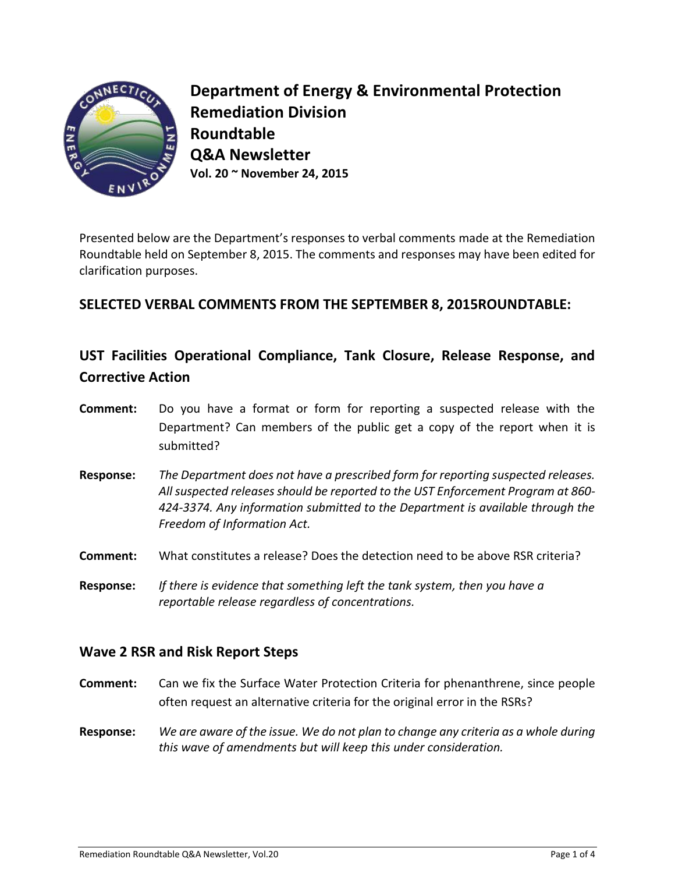

**Department of Energy & Environmental Protection Remediation Division Roundtable Q&A Newsletter Vol. 20 ~ November 24, 2015**

Presented below are the Department's responses to verbal comments made at the Remediation Roundtable held on September 8, 2015. The comments and responses may have been edited for clarification purposes.

# **SELECTED VERBAL COMMENTS FROM THE SEPTEMBER 8, 2015ROUNDTABLE:**

# **UST Facilities Operational Compliance, Tank Closure, Release Response, and Corrective Action**

- **Comment:** Do you have a format or form for reporting a suspected release with the Department? Can members of the public get a copy of the report when it is submitted?
- **Response:** *The Department does not have a prescribed form for reporting suspected releases. All suspected releases should be reported to the UST Enforcement Program at 860- 424-3374. Any information submitted to the Department is available through the Freedom of Information Act.*
- **Comment:** What constitutes a release? Does the detection need to be above RSR criteria?
- **Response:** *If there is evidence that something left the tank system, then you have a reportable release regardless of concentrations.*

## **Wave 2 RSR and Risk Report Steps**

- **Comment:** Can we fix the Surface Water Protection Criteria for phenanthrene, since people often request an alternative criteria for the original error in the RSRs?
- **Response:** *We are aware of the issue. We do not plan to change any criteria as a whole during this wave of amendments but will keep this under consideration.*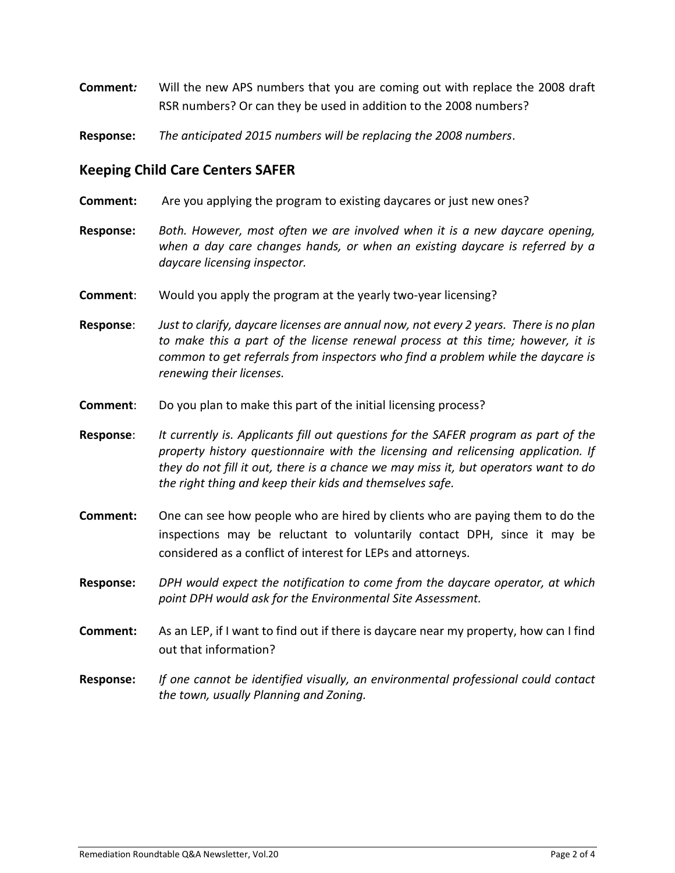- **Comment***:* Will the new APS numbers that you are coming out with replace the 2008 draft RSR numbers? Or can they be used in addition to the 2008 numbers?
- **Response:** *The anticipated 2015 numbers will be replacing the 2008 numbers*.

### **Keeping Child Care Centers SAFER**

- **Comment:** Are you applying the program to existing daycares or just new ones?
- **Response:** *Both. However, most often we are involved when it is a new daycare opening, when a day care changes hands, or when an existing daycare is referred by a daycare licensing inspector.*
- **Comment**: Would you apply the program at the yearly two-year licensing?

**Response**: *Just to clarify, daycare licenses are annual now, not every 2 years. There is no plan to make this a part of the license renewal process at this time; however, it is common to get referrals from inspectors who find a problem while the daycare is renewing their licenses.*

**Comment:** Do you plan to make this part of the initial licensing process?

**Response**: *It currently is. Applicants fill out questions for the SAFER program as part of the property history questionnaire with the licensing and relicensing application. If they do not fill it out, there is a chance we may miss it, but operators want to do the right thing and keep their kids and themselves safe.*

- **Comment:** One can see how people who are hired by clients who are paying them to do the inspections may be reluctant to voluntarily contact DPH, since it may be considered as a conflict of interest for LEPs and attorneys.
- **Response:** *DPH would expect the notification to come from the daycare operator, at which point DPH would ask for the Environmental Site Assessment.*
- **Comment:** As an LEP, if I want to find out if there is daycare near my property, how can I find out that information?
- **Response:** *If one cannot be identified visually, an environmental professional could contact the town, usually Planning and Zoning.*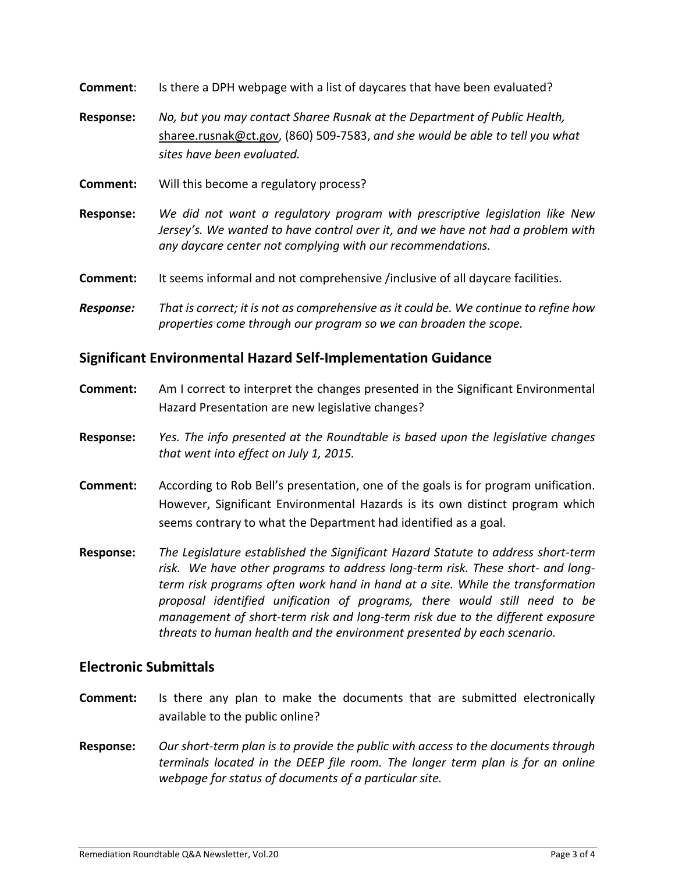**Comment**: Is there a DPH webpage with a list of daycares that have been evaluated?

- **Response:** *No, but you may contact Sharee Rusnak at the Department of Public Health,*  [sharee.rusnak@ct.gov,](mailto:sharee.rusnak@ct.gov) (860) 509-7583, *and she would be able to tell you what sites have been evaluated.*
- **Comment:** Will this become a regulatory process?
- **Response:** *We did not want a regulatory program with prescriptive legislation like New Jersey's. We wanted to have control over it, and we have not had a problem with any daycare center not complying with our recommendations.*
- **Comment:** It seems informal and not comprehensive /inclusive of all daycare facilities.
- *Response: That is correct; it is not as comprehensive as it could be. We continue to refine how properties come through our program so we can broaden the scope.*

#### **Significant Environmental Hazard Self-Implementation Guidance**

- **Comment:** Am I correct to interpret the changes presented in the Significant Environmental Hazard Presentation are new legislative changes?
- **Response:** *Yes. The info presented at the Roundtable is based upon the legislative changes that went into effect on July 1, 2015.*
- **Comment:** According to Rob Bell's presentation, one of the goals is for program unification. However, Significant Environmental Hazards is its own distinct program which seems contrary to what the Department had identified as a goal.
- **Response:** *The Legislature established the Significant Hazard Statute to address short-term risk. We have other programs to address long-term risk. These short- and longterm risk programs often work hand in hand at a site. While the transformation proposal identified unification of programs, there would still need to be management of short-term risk and long-term risk due to the different exposure threats to human health and the environment presented by each scenario.*

#### **Electronic Submittals**

- **Comment:** Is there any plan to make the documents that are submitted electronically available to the public online?
- **Response:** *Our short-term plan is to provide the public with access to the documents through terminals located in the DEEP file room. The longer term plan is for an online webpage for status of documents of a particular site.*